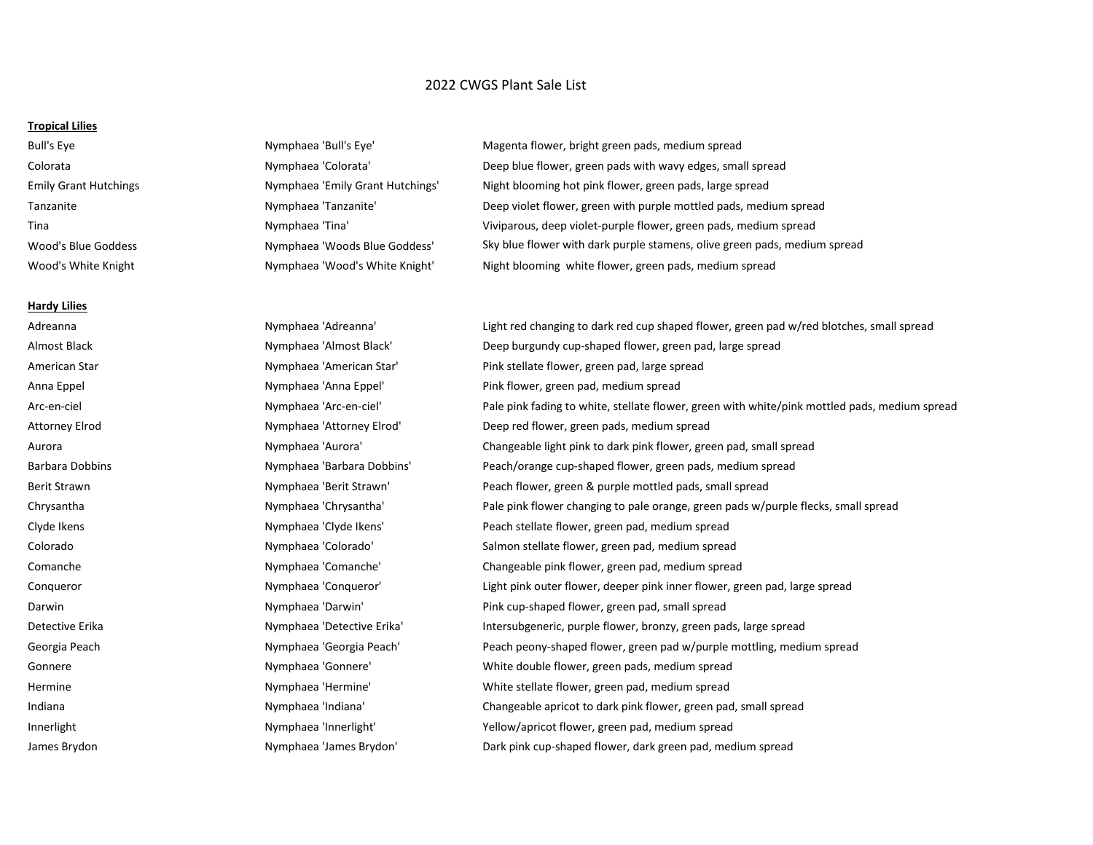# 2022 CWGS Plant Sale List

### **Tropical Lilies**

#### **Hardy Lilies**

Bull's Eye The Nymphaea 'Bull's Eye' Nagenta flower, bright green pads, medium spread Colorata The Nymphaea 'Colorata' Deep blue flower, green pads with wavy edges, small spread Emily Grant Hutchings Nymphaea 'Emily Grant Hutchings' Night blooming hot pink flower, green pads, large spread Tanzanite **Nymphaea 'Tanzanite'** Deep violet flower, green with purple mottled pads, medium spread Tina Nymphaea 'Tina' Viviparous, deep violet-purple flower, green pads, medium spread Wood's Blue Goddess **Nymphaea 'Woods Blue Goddess'** Sky blue flower with dark purple stamens, olive green pads, medium spread Wood's White Knight Nymphaea 'Wood's White Knight' Night blooming white flower, green pads, medium spread

Adreanna **Nymphaea 'Adreanna'** Light red changing to dark red cup shaped flower, green pad w/red blotches, small spread Almost Black **Nymphaea 'Almost Black'** Deep burgundy cup-shaped flower, green pad, large spread American Star **Nymphaea 'American Star'** Pink stellate flower, green pad, large spread Anna Eppel Nymphaea 'Anna Eppel' Pink flower, green pad, medium spread Arc-en-ciel Nymphaea 'Arc-en-ciel' Pale pink fading to white, stellate flower, green with white/pink mottled pads, medium spread Attorney Elrod Nymphaea 'Attorney Elrod' Deep red flower, green pads, medium spread Aurora **Nymphaea 'Aurora'** Changeable light pink to dark pink flower, green pad, small spread Barbara Dobbins **Nymphaea 'Barbara Dobbins'** Peach/orange cup-shaped flower, green pads, medium spread Berit Strawn **Nymphaea 'Berit Strawn'** Peach flower, green & purple mottled pads, small spread Chrysantha Nymphaea 'Chrysantha' Pale pink flower changing to pale orange, green pads w/purple flecks, small spread Clyde Ikens Nymphaea 'Clyde Ikens' Peach stellate flower, green pad, medium spread Colorado Nymphaea 'Colorado' Salmon stellate flower, green pad, medium spread Comanche Nymphaea 'Comanche' Changeable pink flower, green pad, medium spread Conqueror **Nymphaea 'Conqueror'** Light pink outer flower, deeper pink inner flower, green pad, large spread Darwin **Nymphaea 'Darwin'** Pink cup-shaped flower, green pad, small spread Detective Erika **Nymphaea 'Detective Erika'** Intersubgeneric, purple flower, bronzy, green pads, large spread Georgia Peach Nymphaea 'Georgia Peach' Peach peony-shaped flower, green pad w/purple mottling, medium spread Gonnere The Summan Summan (Nymphaea 'Gonnere' Nymbrow White double flower, green pads, medium spread Hermine Thermine Nymphaea 'Hermine' White stellate flower, green pad, medium spread Indiana Nymphaea 'Indiana' Changeable apricot to dark pink flower, green pad, small spread Innerlight Nymphaea 'Innerlight' Yellow/apricot flower, green pad, medium spread James Brydon Nymphaea 'James Brydon' Dark pink cup-shaped flower, dark green pad, medium spread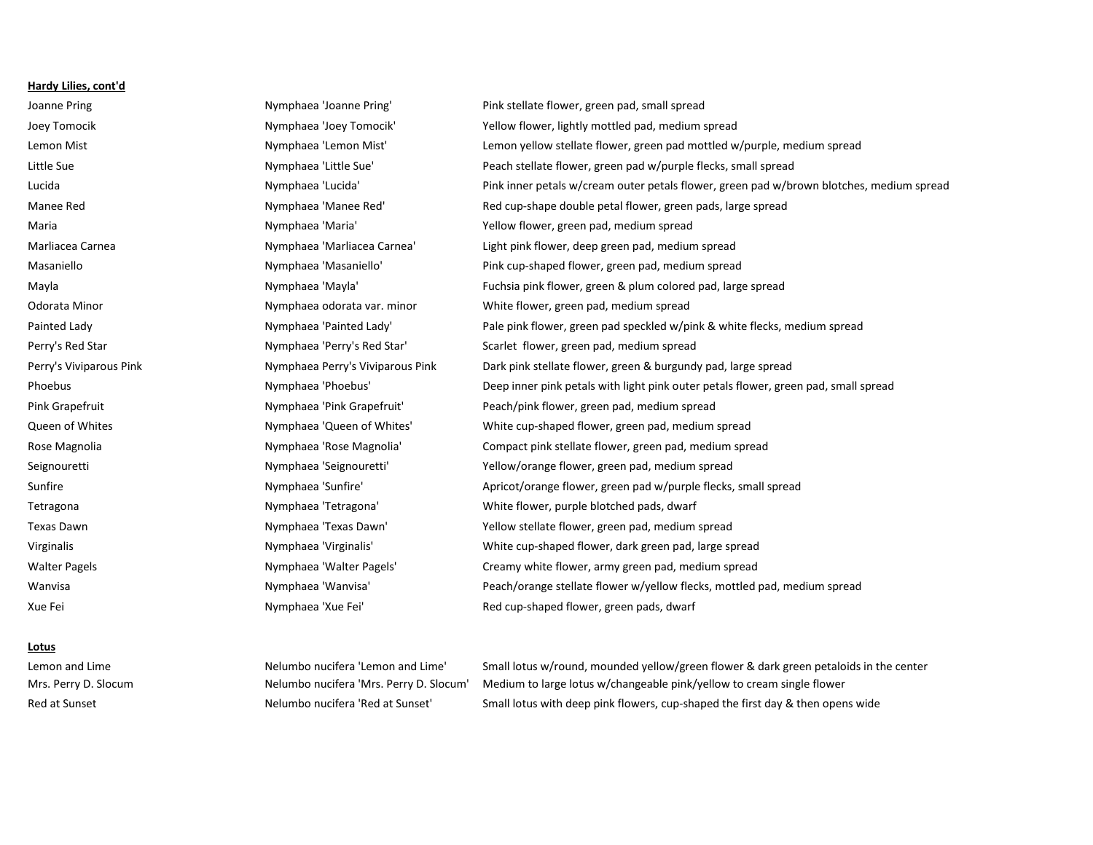#### **Hardy Lilies, cont'd**

Joanne Pring Tring Nymphaea 'Joanne Pring' Pink stellate flower, green pad, small spread Joey Tomocik Nymphaea 'Joey Tomocik' Yellow flower, lightly mottled pad, medium spread Lemon Mist Nymphaea 'Lemon Mist' Lemon yellow stellate flower, green pad mottled w/purple, medium spread Little Sue The Nymphaea 'Little Sue' Peach stellate flower, green pad w/purple flecks, small spread Lucida Nymphaea 'Lucida' Pink inner petals w/cream outer petals flower, green pad w/brown blotches, medium spread Manee Red Nymphaea 'Manee Red' Red cup-shape double petal flower, green pads, large spread Maria Nymphaea 'Maria' Yellow flower, green pad, medium spread Marliacea Carnea Nymphaea 'Marliacea Carnea' Light pink flower, deep green pad, medium spread Masaniello Nymphaea 'Masaniello' Pink cup-shaped flower, green pad, medium spread Mayla Nymphaea 'Mayla' Fuchsia pink flower, green & plum colored pad, large spread Odorata Minor **Numphaea odorata var. minor** White flower, green pad, medium spread Painted Lady **Nymphaea 'Painted Lady'** Pale pink flower, green pad speckled w/pink & white flecks, medium spread Perry's Red Star **Nymphaea 'Perry's Red Star'** Scarlet flower, green pad, medium spread Perry's Viviparous Pink Nymphaea Perry's Viviparous Pink Dark pink stellate flower, green & burgundy pad, large spread Phoebus Nymphaea 'Phoebus' Deep inner pink petals with light pink outer petals flower, green pad, small spread Pink Grapefruit Nymphaea 'Pink Grapefruit' Peach/pink flower, green pad, medium spread Queen of Whites Nymphaea 'Queen of Whites' White cup-shaped flower, green pad, medium spread Rose Magnolia **Nymphaea 'Rose Magnolia'** Compact pink stellate flower, green pad, medium spread Seignouretti Nymphaea 'Seignouretti' Yellow/orange flower, green pad, medium spread Sunfire Sunfire Apricot/orange flower, green pad w/purple flecks, small spread under the Nymphaea 'Sunfire' Apricot/orange flower, green pad w/purple flecks, small spread Tetragona Tetragona Nymphaea 'Tetragona' White flower, purple blotched pads, dwarf Texas Dawn Nymphaea 'Texas Dawn' Yellow stellate flower, green pad, medium spread Virginalis Nymphaea 'Virginalis' White cup-shaped flower, dark green pad, large spread Walter Pagels **Nymphaea 'Walter Pagels'** Creamy white flower, army green pad, medium spread Wanvisa **Nymphaea 'Wanvisa'** Peach/orange stellate flower w/yellow flecks, mottled pad, medium spread Xue Fei **Nymphaea 'Xue Fei'** Red cup-shaped flower, green pads, dwarf

# **Lotus**

Lemon and Lime **Nelumbo nucifera 'Lemon and Lime'** Small lotus w/round, mounded yellow/green flower & dark green petaloids in the center Mrs. Perry D. Slocum Nelumbo nucifera 'Mrs. Perry D. Slocum' Medium to large lotus w/changeable pink/yellow to cream single flower Red at Sunset The International Communism of Nelumbo nucifera 'Red at Sunset' Small lotus with deep pink flowers, cup-shaped the first day & then opens wide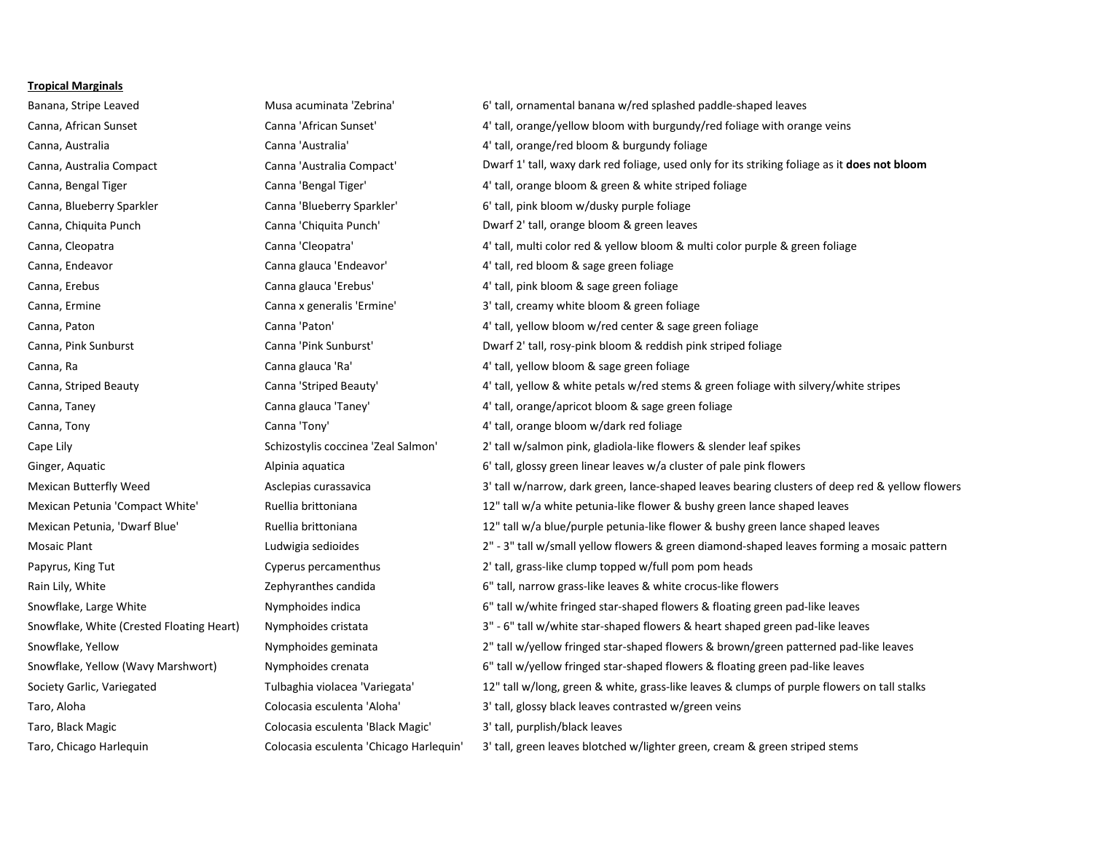#### **Tropical Marginals**

Taro, Black Magic Colocasia esculenta 'Black Magic' 3' tall, purplish/black leaves

Banana, Stripe Leaved **Musa acuminata 'Zebrina'** 6' tall, ornamental banana w/red splashed paddle-shaped leaves Canna, African Sunset Canna 'African Sunset' 4' tall, orange/yellow bloom with burgundy/red foliage with orange veins Canna, Australia Canna 'Australia' 4' tall, orange/red bloom & burgundy foliage Canna, Australia Compact Canna 'Australia Compact' Dwarf 1' tall, waxy dark red foliage, used only for its striking foliage as it **does not bloom** Canna, Bengal Tiger Canna 'Bengal Tiger' 4' tall, orange bloom & green & white striped foliage Canna, Blueberry Sparkler Canna 'Blueberry Sparkler' 6' tall, pink bloom w/dusky purple foliage Canna, Chiquita Punch Canna 'Chiquita Punch' Dwarf 2' tall, orange bloom & green leaves Canna, Cleopatra Canna 'Cleopatra' Canna 'Cleopatra' 4' tall, multi color red & yellow bloom & multi color purple & green foliage Canna, Endeavor Canna glauca 'Endeavor' 4' tall, red bloom & sage green foliage Canna, Erebus Canna glauca 'Erebus' 4' tall, pink bloom & sage green foliage Canna, Ermine **Canna X** Canna x generalis 'Ermine' 3' tall, creamy white bloom & green foliage Canna, Paton Canna 'Paton' Canna 'Paton' and Canna 'Paton' 4' tall, yellow bloom w/red center & sage green foliage Canna, Pink Sunburst Canna 'Pink Sunburst' Dwarf 2' tall, rosy-pink bloom & reddish pink striped foliage Canna, Ra Canna glauca 'Ra' 4' tall, yellow bloom & sage green foliage Canna, Striped Beauty **Canna 'Striped Beauty'** 4' tall, yellow & white petals w/red stems & green foliage with silvery/white stripes Canna, Taney Taney Canna glauca 'Taney' 4' tall, orange/apricot bloom & sage green foliage Canna, Tony Canna 'Tony' 4' tall, orange bloom w/dark red foliage Cape Lily Schizostylis coccinea 'Zeal Salmon' 2' tall w/salmon pink, gladiola-like flowers & slender leaf spikes Ginger, Aquatic **Alpinia aquatica** Alpinia aquatica 6' tall, glossy green linear leaves w/a cluster of pale pink flowers Mexican Butterfly Weed **Asclepias curassavica** Asclepias curassavica 3' tall w/narrow, dark green, lance-shaped leaves bearing clusters of deep red & yellow flowers Mexican Petunia 'Compact White' Ruellia brittoniana 12" tall w/a white petunia-like flower & bushy green lance shaped leaves Mexican Petunia, 'Dwarf Blue' Ruellia brittoniana 12" tall w/a blue/purple petunia-like flower & bushy green lance shaped leaves Mosaic Plant **Ludwigia sedioides** 2" - 3" tall w/small yellow flowers & green diamond-shaped leaves forming a mosaic pattern Papyrus, King Tut **Cyperus percamenthus** 2' tall, grass-like clump topped w/full pom pom heads Rain Lily, White **Exercise 2. The Community Cephyranthes candida** 6" tall, narrow grass-like leaves & white crocus-like flowers Snowflake, Large White Nymphoides indica 6th and the Mymphoides indica of the Mymphoides indica 6th and the Mymphoides indica 6th and the Mymphoides indica 6th and the Mymphoides indica of the Mymphoides indica 6th and the Snowflake, White (Crested Floating Heart) Nymphoides cristata 3" - 6" tall w/white star-shaped flowers & heart shaped green pad-like leaves Snowflake, Yellow **Nymphoides geminata** 2" tall w/yellow fringed star-shaped flowers & brown/green patterned pad-like leaves Snowflake, Yellow (Wavy Marshwort) Nymphoides crenata 6" tall w/yellow fringed star-shaped flowers & floating green pad-like leaves Society Garlic, Variegated Tulbaghia violacea 'Variegata' 12" tall w/long, green & white, grass-like leaves & clumps of purple flowers on tall stalks Taro, Aloha **Colocasia esculenta 'Aloha'** 3' tall, glossy black leaves contrasted w/green veins Taro, Chicago Harlequin Colocasia esculenta 'Chicago Harlequin' 3' tall, green leaves blotched w/lighter green, cream & green striped stems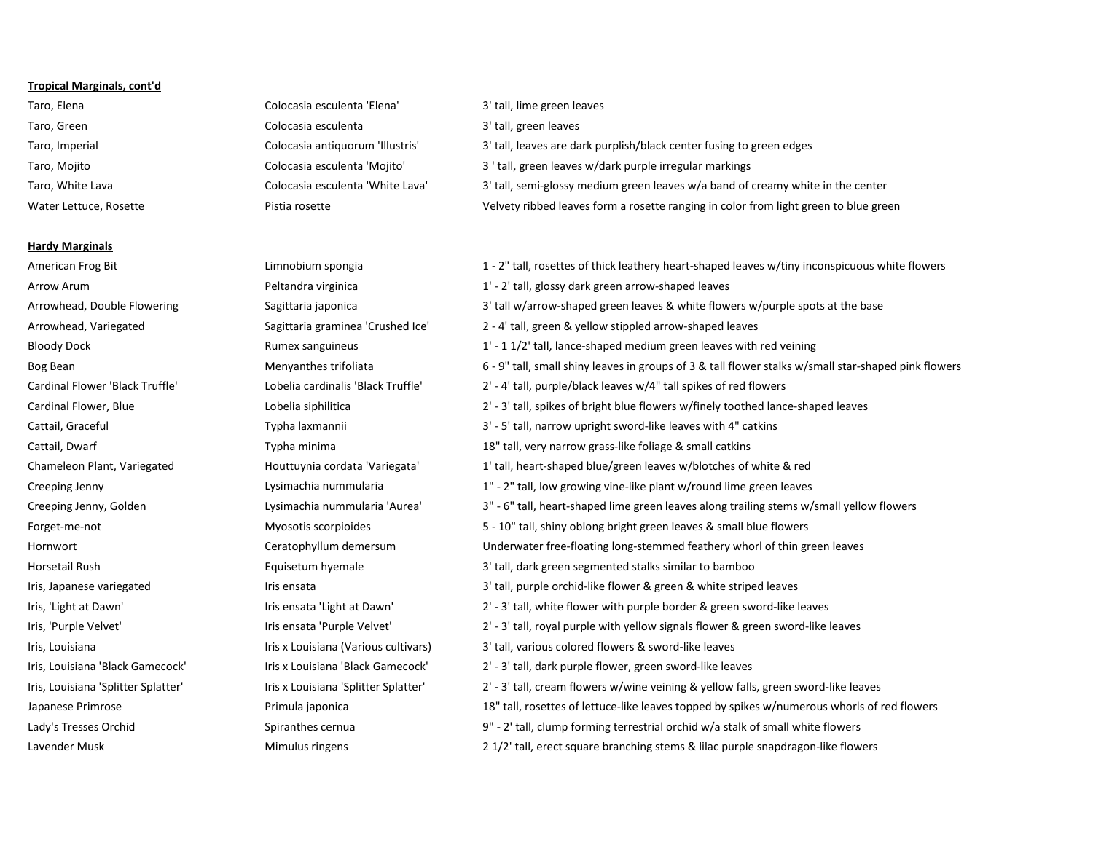# **Tropical Marginals, cont'd**

# **Hardy Marginals**

- Taro, Elena **Colocasia esculenta 'Elena'** 3' tall, lime green leaves Taro, Green Colocasia esculenta 3' tall, green leaves Taro, Imperial Colocasia antiquorum 'Illustris' 3' tall, leaves are dark purplish/black center fusing to green edges Taro, Mojito Colocasia esculenta 'Mojito' 3 ' tall, green leaves w/dark purple irregular markings Taro, White Lava Colocasia esculenta 'White Lava' 3' tall, semi-glossy medium green leaves w/a band of creamy white in the center Water Lettuce, Rosette **Velvety ribbed leaves form a rosette ranging in color from light green to blue green**
- American Frog Bit **1. 2.1 american Frog Bit** Limnobium spongia **1 2**" tall, rosettes of thick leathery heart-shaped leaves w/tiny inconspicuous white flowers Arrow Arum example are arrow-shaped leaves Peltandra virginica and the state of the 1' - 2' tall, glossy dark green arrow-shaped leaves Arrowhead, Double Flowering Sagittaria japonica 3' tall w/arrow-shaped green leaves & white flowers w/purple spots at the base Arrowhead, Variegated Sagittaria graminea 'Crushed Ice' 2 - 4' tall, green & yellow stippled arrow-shaped leaves Bloody Dock **Exercise 2** Rumex sanguineus 1' - 1 1/2' tall, lance-shaped medium green leaves with red veining Bog Bean States 6 - 9" tall, small shiny leaves in groups of 3 & tall flower stalks w/small star-shaped pink flowers Cardinal Flower 'Black Truffle' Lobelia cardinalis 'Black Truffle' 2' - 4' tall, purple/black leaves w/4" tall spikes of red flowers Cardinal Flower, Blue **Lobelia siphilitica** Lobelia siphilitica Lobelia siphilitica Lobelia siphilitica Lobelia siphilitica Lobelia siphilitica Lobelia siphilitica Lobelia siphilitica Lobelia siphilitica Lobelia siphilitic Cattail, Graceful **Typha laxmannii** Typha laxmannii 3' - 5' tall, narrow upright sword-like leaves with 4" catkins Cattail, Dwarf The Typha minima 18" tall, very narrow grass-like foliage & small catkins Chameleon Plant, Variegated Houttuynia cordata 'Variegata' 1' tall, heart-shaped blue/green leaves w/blotches of white & red Creeping Jenny **Lysimachia nummularia** 1" - 2" tall, low growing vine-like plant w/round lime green leaves Creeping Jenny, Golden **1998** Lysimachia nummularia 'Aurea' 3" - 6" tall, heart-shaped lime green leaves along trailing stems w/small yellow flowers Forget-me-not Myosotis scorpioides 5 - 10" tall, shiny oblong bright green leaves & small blue flowers Hornwort Ceratophyllum demersum Underwater free-floating long-stemmed feathery whorl of thin green leaves Horsetail Rush Equisetum hyemale 3' tall, dark green segmented stalks similar to bamboo Iris, Japanese variegated Iris ensata Iris ensata 3' tall, purple orchid-like flower & green & white striped leaves Iris, 'Light at Dawn' Iris ensata 'Light at Dawn' 2' - 3' tall, white flower with purple border & green sword-like leaves Iris, 'Purple Velvet' https://eurple Velvet' and a leaves and the Velvet' and the Velvet' 2' - 3' tall, royal purple with yellow signals flower & green sword-like leaves Iris x Louisiana Iris x Louisiana (Various cultivars) 3' tall, various colored flowers & sword-like leaves Iris, Louisiana 'Black Gamecock' Iris x Louisiana 'Black Gamecock' 2' - 3' tall, dark purple flower, green sword-like leaves Iris, Louisiana 'Splitter Splatter' lawing a liris x Louisiana 'Splitter Splatter' 2' - 3' tall, cream flowers w/wine veining & yellow falls, green sword-like leaves Japanese Primrose **18' increase 18' and Table 18'** tall, rosettes of lettuce-like leaves topped by spikes w/numerous whorls of red flowers Lady's Tresses Orchid Spiranthes cernua 9" - 2' tall, clump forming terrestrial orchid w/a stalk of small white flowers Lavender Musk **Mimulus ringens** Mimulus ringens 2 1/2' tall, erect square branching stems & lilac purple snapdragon-like flowers